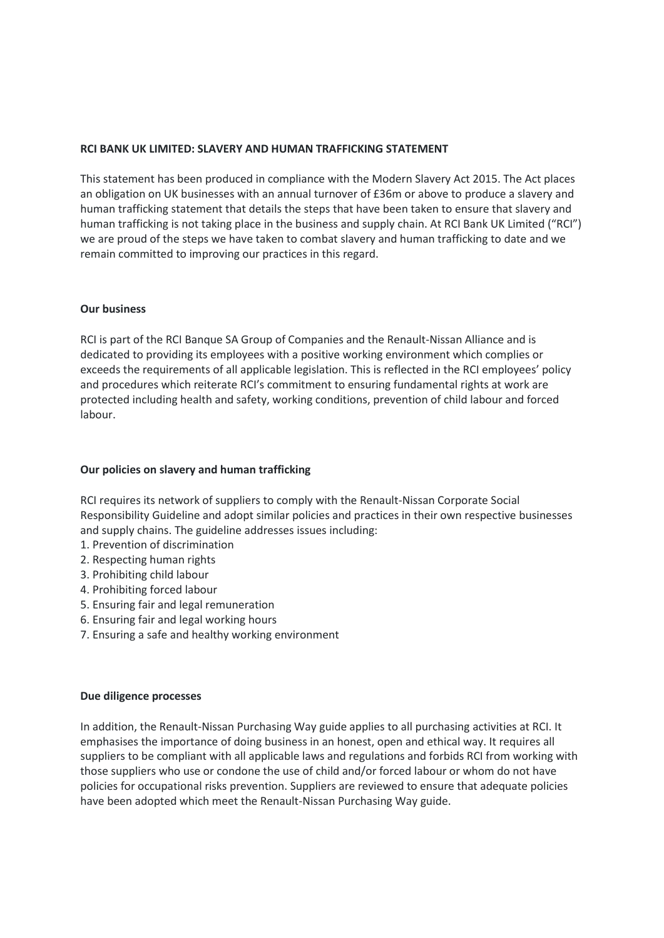### **RCI BANK UK LIMITED: SLAVERY AND HUMAN TRAFFICKING STATEMENT**

This statement has been produced in compliance with the Modern Slavery Act 2015. The Act places an obligation on UK businesses with an annual turnover of £36m or above to produce a slavery and human trafficking statement that details the steps that have been taken to ensure that slavery and human trafficking is not taking place in the business and supply chain. At RCI Bank UK Limited ("RCI") we are proud of the steps we have taken to combat slavery and human trafficking to date and we remain committed to improving our practices in this regard.

#### **Our business**

RCI is part of the RCI Banque SA Group of Companies and the Renault-Nissan Alliance and is dedicated to providing its employees with a positive working environment which complies or exceeds the requirements of all applicable legislation. This is reflected in the RCI employees' policy and procedures which reiterate RCI's commitment to ensuring fundamental rights at work are protected including health and safety, working conditions, prevention of child labour and forced labour.

### **Our policies on slavery and human trafficking**

RCI requires its network of suppliers to comply with the Renault-Nissan Corporate Social Responsibility Guideline and adopt similar policies and practices in their own respective businesses and supply chains. The guideline addresses issues including:

- 1. Prevention of discrimination
- 2. Respecting human rights
- 3. Prohibiting child labour
- 4. Prohibiting forced labour
- 5. Ensuring fair and legal remuneration
- 6. Ensuring fair and legal working hours
- 7. Ensuring a safe and healthy working environment

## **Due diligence processes**

In addition, the Renault-Nissan Purchasing Way guide applies to all purchasing activities at RCI. It emphasises the importance of doing business in an honest, open and ethical way. It requires all suppliers to be compliant with all applicable laws and regulations and forbids RCI from working with those suppliers who use or condone the use of child and/or forced labour or whom do not have policies for occupational risks prevention. Suppliers are reviewed to ensure that adequate policies have been adopted which meet the Renault-Nissan Purchasing Way guide.